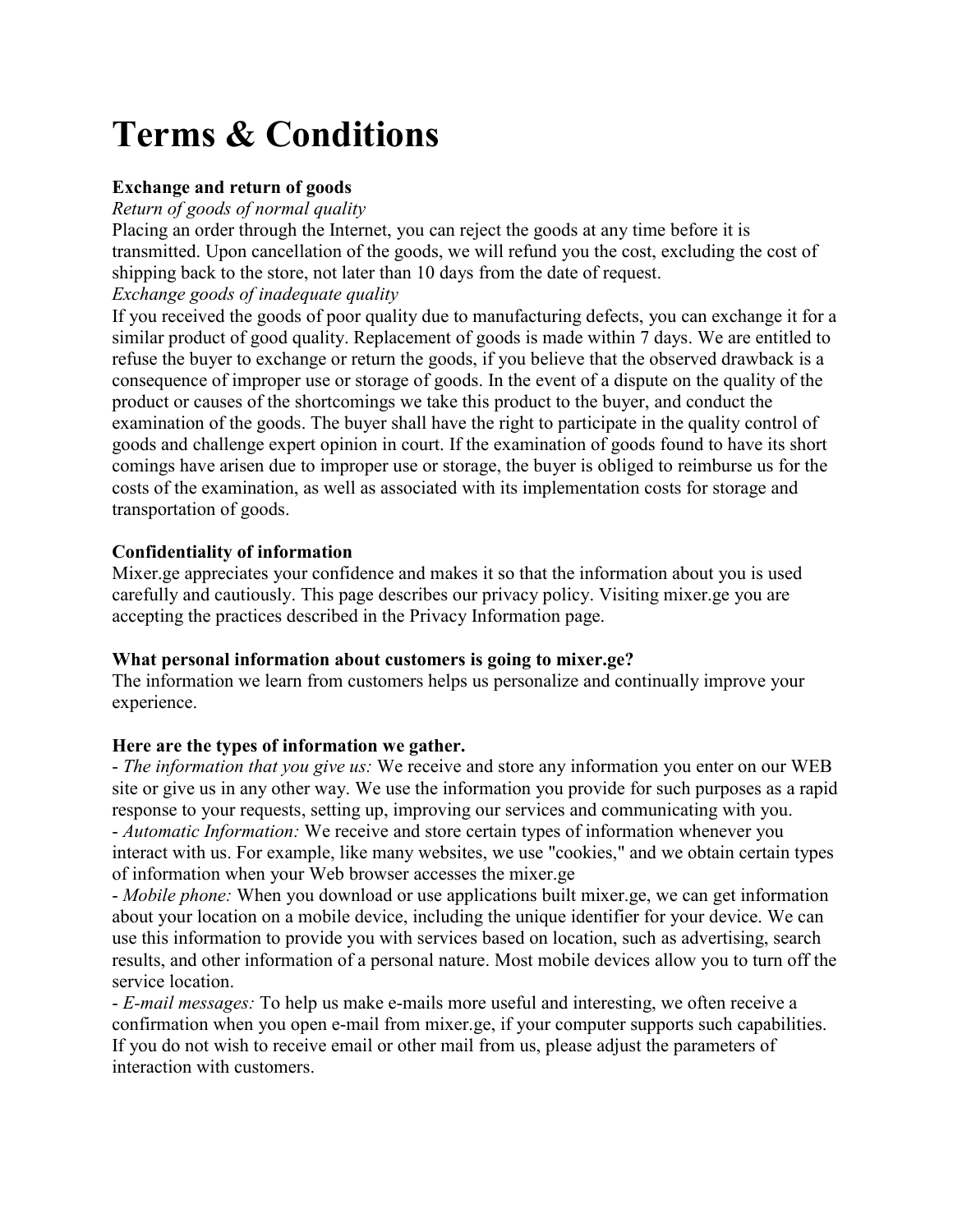# **Terms & Conditions**

#### **Exchange and return of goods**

*Return of goods of normal quality* 

Placing an order through the Internet, you can reject the goods at any time before it is transmitted. Upon cancellation of the goods, we will refund you the cost, excluding the cost of shipping back to the store, not later than 10 days from the date of request.

#### *Exchange goods of inadequate quality*

If you received the goods of poor quality due to manufacturing defects, you can exchange it for a similar product of good quality. Replacement of goods is made within 7 days. We are entitled to refuse the buyer to exchange or return the goods, if you believe that the observed drawback is a consequence of improper use or storage of goods. In the event of a dispute on the quality of the product or causes of the shortcomings we take this product to the buyer, and conduct the examination of the goods. The buyer shall have the right to participate in the quality control of goods and challenge expert opinion in court. If the examination of goods found to have its short comings have arisen due to improper use or storage, the buyer is obliged to reimburse us for the costs of the examination, as well as associated with its implementation costs for storage and transportation of goods.

### **Confidentiality of information**

Mixer.ge appreciates your confidence and makes it so that the information about you is used carefully and cautiously. This page describes our privacy policy. Visiting mixer.ge you are accepting the practices described in the Privacy Information page.

#### **What personal information about customers is going to mixer.ge?**

The information we learn from customers helps us personalize and continually improve your experience.

#### **Here are the types of information we gather.**

- *The information that you give us:* We receive and store any information you enter on our WEB site or give us in any other way. We use the information you provide for such purposes as a rapid response to your requests, setting up, improving our services and communicating with you. - *Automatic Information:* We receive and store certain types of information whenever you interact with us. For example, like many websites, we use "cookies," and we obtain certain types of information when your Web browser accesses the mixer.ge

- *Mobile phone:* When you download or use applications built mixer.ge, we can get information about your location on a mobile device, including the unique identifier for your device. We can use this information to provide you with services based on location, such as advertising, search results, and other information of a personal nature. Most mobile devices allow you to turn off the service location.

- *E-mail messages:* To help us make e-mails more useful and interesting, we often receive a confirmation when you open e-mail from mixer.ge, if your computer supports such capabilities. If you do not wish to receive email or other mail from us, please adjust the parameters of interaction with customers.